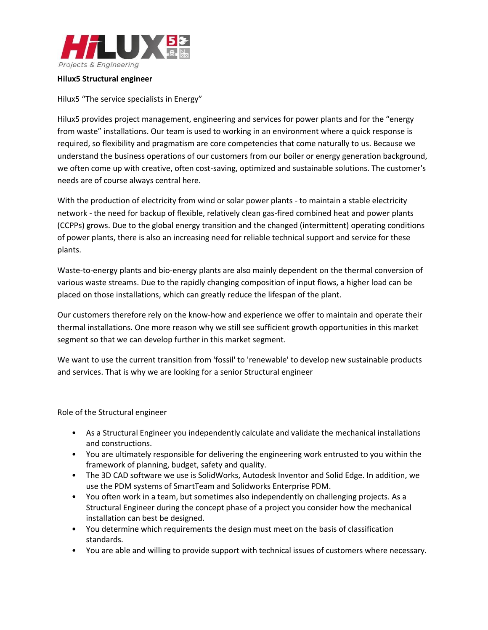

### **Hilux5 Structural engineer**

## Hilux5 "The service specialists in Energy"

Hilux5 provides project management, engineering and services for power plants and for the "energy from waste" installations. Our team is used to working in an environment where a quick response is required, so flexibility and pragmatism are core competencies that come naturally to us. Because we understand the business operations of our customers from our boiler or energy generation background, we often come up with creative, often cost-saving, optimized and sustainable solutions. The customer's needs are of course always central here.

With the production of electricity from wind or solar power plants - to maintain a stable electricity network - the need for backup of flexible, relatively clean gas-fired combined heat and power plants (CCPPs) grows. Due to the global energy transition and the changed (intermittent) operating conditions of power plants, there is also an increasing need for reliable technical support and service for these plants.

Waste-to-energy plants and bio-energy plants are also mainly dependent on the thermal conversion of various waste streams. Due to the rapidly changing composition of input flows, a higher load can be placed on those installations, which can greatly reduce the lifespan of the plant.

Our customers therefore rely on the know-how and experience we offer to maintain and operate their thermal installations. One more reason why we still see sufficient growth opportunities in this market segment so that we can develop further in this market segment.

We want to use the current transition from 'fossil' to 'renewable' to develop new sustainable products and services. That is why we are looking for a senior Structural engineer

#### Role of the Structural engineer

- As a Structural Engineer you independently calculate and validate the mechanical installations and constructions.
- You are ultimately responsible for delivering the engineering work entrusted to you within the framework of planning, budget, safety and quality.
- The 3D CAD software we use is SolidWorks, Autodesk Inventor and Solid Edge. In addition, we use the PDM systems of SmartTeam and Solidworks Enterprise PDM.
- You often work in a team, but sometimes also independently on challenging projects. As a Structural Engineer during the concept phase of a project you consider how the mechanical installation can best be designed.
- You determine which requirements the design must meet on the basis of classification standards.
- You are able and willing to provide support with technical issues of customers where necessary.